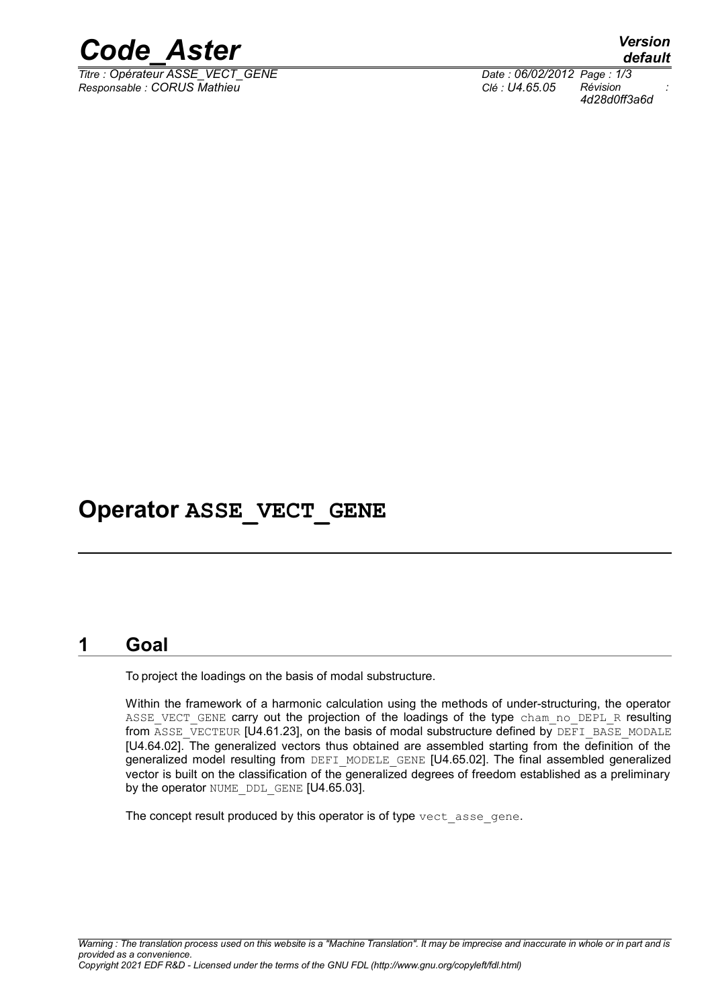

*Titre : Opérateur ASSE\_VECT\_GENE Date : 06/02/2012 Page : 1/3 Responsable : CORUS Mathieu Clé : U4.65.05 Révision :*

*default 4d28d0ff3a6d*

## **Operator ASSE\_VECT\_GENE**

### **1 Goal**

To project the loadings on the basis of modal substructure.

Within the framework of a harmonic calculation using the methods of under-structuring, the operator ASSE\_VECT\_GENE carry out the projection of the loadings of the type cham\_no\_DEPL\_R resulting from ASSE\_VECTEUR [U4.61.23], on the basis of modal substructure defined by DEFI\_BASE\_MODALE [U4.64.02]. The generalized vectors thus obtained are assembled starting from the definition of the generalized model resulting from DEFI\_MODELE\_GENE [U4.65.02]. The final assembled generalized vector is built on the classification of the generalized degrees of freedom established as a preliminary by the operator NUME\_DDL\_GENE [U4.65.03].

The concept result produced by this operator is of type vect asse gene.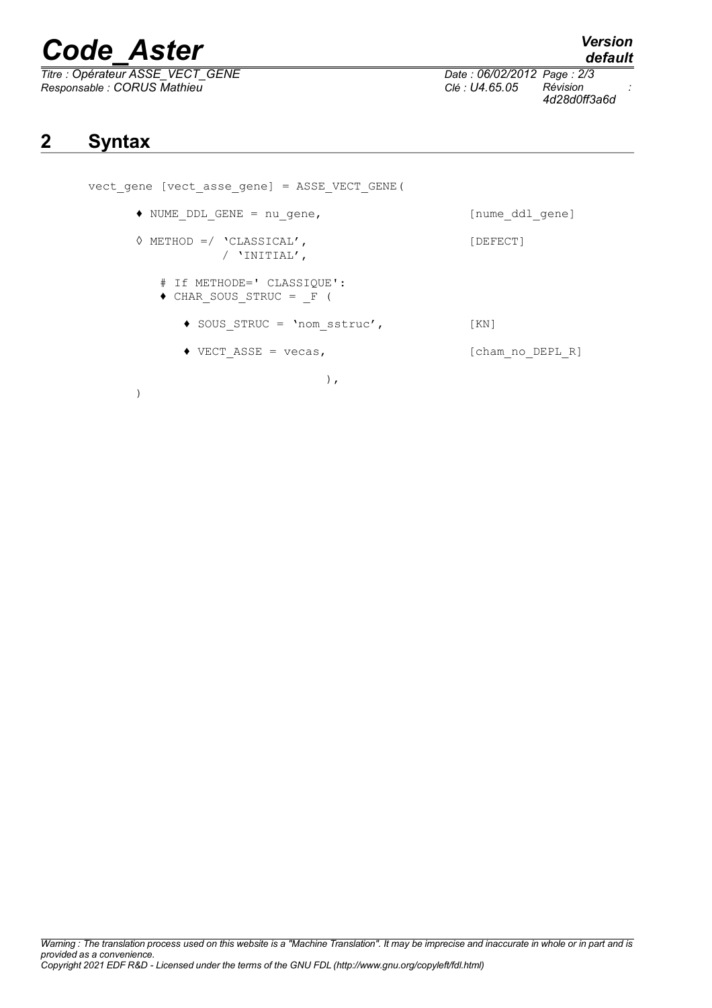# *Code\_Aster Version*

*Titre : Opérateur ASSE\_VECT\_GENE Date : 06/02/2012 Page : 2/3 Responsable : CORUS Mathieu Clé : U4.65.05 Révision :*

)

*default 4d28d0ff3a6d*

## **2 Syntax**

```
vect gene [vect asse gene] = ASSE VECT GENE(
♦ NUME_DDL_GENE = nu_gene, [nume_ddl_gene]
\Diamond METHOD =/ 'CLASSICAL',
            / 'INITIAL''
   # If METHODE=' CLASSIQUE':
   \triangleleft CHAR SOUS STRUC = F (
      ♦ SOUS_STRUC = 'nom_sstruc', [KN]
      \blacklozenge VECT ASSE = vecas, [charno DEPL R]
                       ),
```